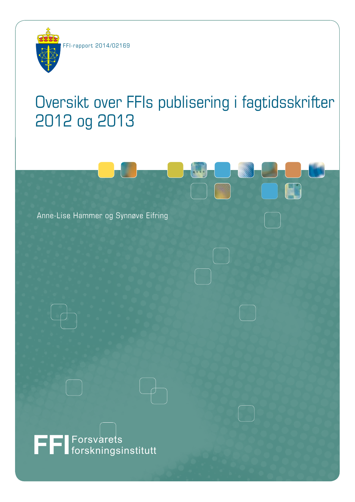

# Oversikt over FFIs publisering i fagtidsskrifter 2012 og 2013

Anne-Lise Hammer og Synnøve Eifring

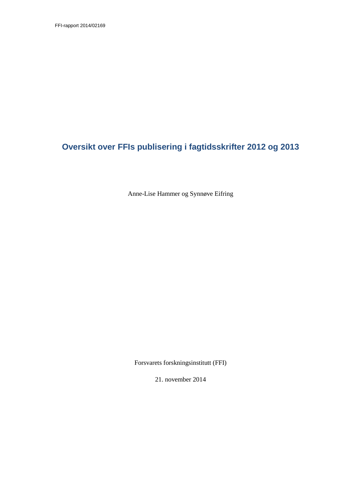## **Oversikt over FFIs publisering i fagtidsskrifter 2012 og 2013**

Anne-Lise Hammer og Synnøve Eifring

Forsvarets forskningsinstitutt (FFI)

21. november 2014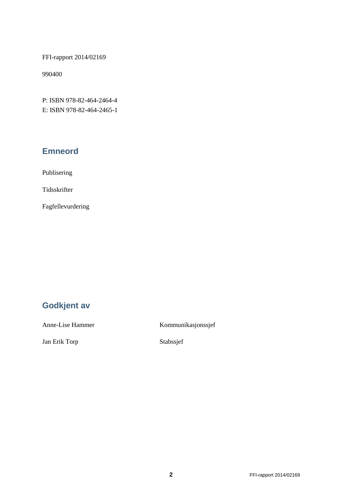FFI-rapport 2014/02169

990400

P: ISBN 978-82-464-2464-4 E: ISBN 978-82-464-2465-1

### **Emneord**

Publisering

Tidsskrifter

Fagfellevurdering

## **Godkjent av**

Jan Erik Torp Stabssjef

Anne-Lise Hammer Kommunikasjonssjef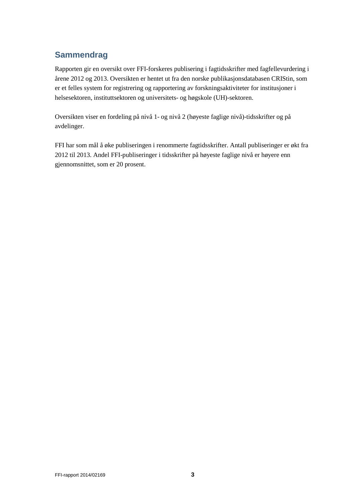### **Sammendrag**

Rapporten gir en oversikt over FFI-forskeres publisering i fagtidsskrifter med fagfellevurdering i årene 2012 og 2013. Oversikten er hentet ut fra den norske publikasjonsdatabasen CRIStin, som er et felles system for registrering og rapportering av forskningsaktiviteter for institusjoner i helsesektoren, instituttsektoren og universitets- og høgskole (UH)-sektoren.

Oversikten viser en fordeling på nivå 1- og nivå 2 (høyeste faglige nivå)-tidsskrifter og på avdelinger.

FFI har som mål å øke publiseringen i renommerte fagtidsskrifter. Antall publiseringer er økt fra 2012 til 2013. Andel FFI-publiseringer i tidsskrifter på høyeste faglige nivå er høyere enn gjennomsnittet, som er 20 prosent.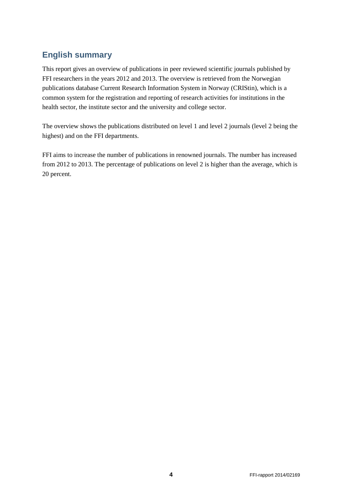### **English summary**

This report gives an overview of publications in peer reviewed scientific journals published by FFI researchers in the years 2012 and 2013. The overview is retrieved from the Norwegian publications database Current Research Information System in Norway (CRIStin), which is a common system for the registration and reporting of research activities for institutions in the health sector, the institute sector and the university and college sector.

The overview shows the publications distributed on level 1 and level 2 journals (level 2 being the highest) and on the FFI departments.

FFI aims to increase the number of publications in renowned journals. The number has increased from 2012 to 2013. The percentage of publications on level 2 is higher than the average, which is 20 percent.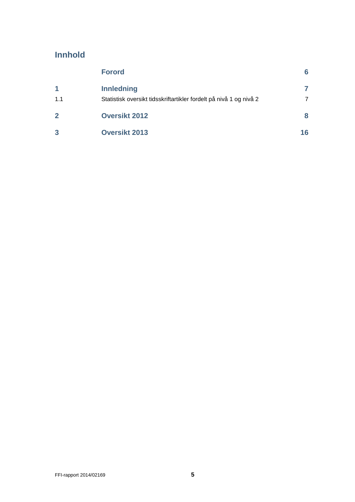### **Innhold**

|                | <b>Forord</b>                                                      | 6  |
|----------------|--------------------------------------------------------------------|----|
| 1              | <b>Innledning</b>                                                  |    |
| 1.1            | Statistisk oversikt tidsskriftartikler fordelt på nivå 1 og nivå 2 | 7  |
| $\overline{2}$ | <b>Oversikt 2012</b>                                               | 8  |
| 3              | <b>Oversikt 2013</b>                                               | 16 |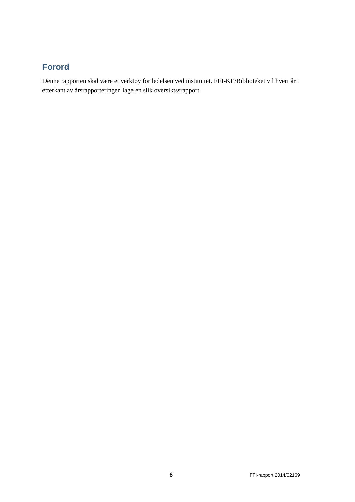### <span id="page-7-0"></span>**Forord**

Denne rapporten skal være et verktøy for ledelsen ved instituttet. FFI-KE/Biblioteket vil hvert år i etterkant av årsrapporteringen lage en slik oversiktssrapport.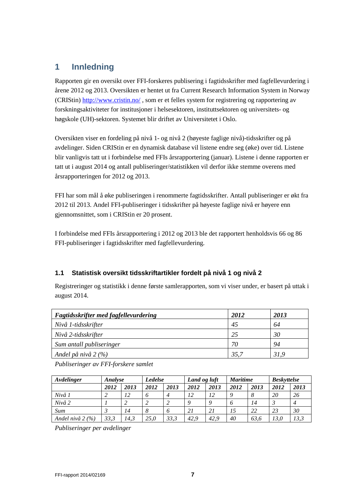### <span id="page-8-0"></span>**1 Innledning**

Rapporten gir en oversikt over FFI-forskeres publisering i fagtidsskrifter med fagfellevurdering i årene 2012 og 2013. Oversikten er hentet ut fra Current Research Information System in Norway (CRIStin)<http://www.cristin.no/> , som er et felles system for registrering og rapportering av forskningsaktiviteter for institusjoner i helsesektoren, instituttsektoren og universitets- og høgskole (UH)-sektoren. Systemet blir driftet av Universitetet i Oslo.

Oversikten viser en fordeling på nivå 1- og nivå 2 (høyeste faglige nivå)-tidsskrifter og på avdelinger. Siden CRIStin er en dynamisk database vil listene endre seg (øke) over tid. Listene blir vanligvis tatt ut i forbindelse med FFIs årsrapportering (januar). Listene i denne rapporten er tatt ut i august 2014 og antall publiseringer/statistikken vil derfor ikke stemme overens med årsrapporteringen for 2012 og 2013.

FFI har som mål å øke publiseringen i renommerte fagtidsskrifter. Antall publiseringer er økt fra 2012 til 2013. Andel FFI-publiseringer i tidsskrifter på høyeste faglige nivå er høyere enn gjennomsnittet, som i CRIStin er 20 prosent.

I forbindelse med FFIs årsrapportering i 2012 og 2013 ble det rapportert henholdsvis 66 og 86 FFI-publiseringer i fagtidsskrifter med fagfellevurdering.

#### <span id="page-8-1"></span>**1.1 Statistisk oversikt tidsskriftartikler fordelt på nivå 1 og nivå 2**

Registreringer og statistikk i denne første samlerapporten, som vi viser under, er basert på uttak i august 2014.

| Fagtidsskrifter med fagfellevurdering | 2012    | 2013 |
|---------------------------------------|---------|------|
| Nivå 1-tidsskrifter                   | 45      | 64   |
| Nivå 2-tidsskrifter                   | 25      | 30   |
| Sum antall publiseringer              | 70      | 94   |
| Andel på nivå 2 (%)                   | $-35,7$ | 31.9 |

*Publiseringer av FFI-forskere samlet*

| Avdelinger         | Analyse |      | <b>Ledelse</b> |      | Land og luft |      | <b>Maritime</b> |      | <b>Beskyttelse</b> |      |
|--------------------|---------|------|----------------|------|--------------|------|-----------------|------|--------------------|------|
|                    | 2012    | 2013 | 2012           | 2013 | 2012         | 2013 | 2012            | 2013 | 2012               | 2013 |
| Nivå 1             |         | 12   | 6              | 4    | 12           | 12   |                 | 8    | 20                 | 26   |
| Nivå 2             |         |      |                |      | Q            |      | 6               | 14   |                    | 4    |
| Sum                |         | 14   | 8              | Ō    | 21           | 21   | 15              | 22   | 23                 | 30   |
| Andel nivå 2 $(%)$ | 33,3    | 14.3 | 25.0           | 33,3 | 42.9         | 42.9 | 40              | 63.6 | 13.0               | 13.3 |

*Publiseringer per avdelinger*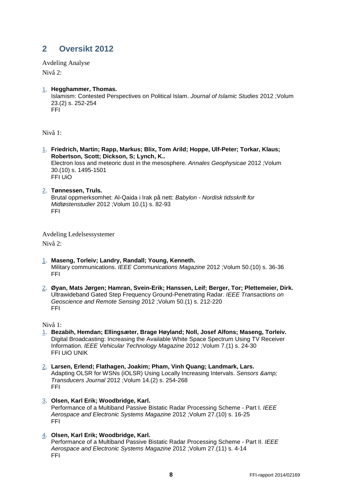### <span id="page-9-0"></span>**2 Oversikt 2012**

Avdeling Analyse Nivå 2:

[1.](http://www.cristin.no/as/WebObjects/cristin.woa/wo/16.Profil.29.25.2.3.15.1.0.3) **Hegghammer, Thomas.**  Islamism: Contested Perspectives on Political Islam. *Journal of Islamic Studies* 2012 ;Volum 23.(2) s. 252-254 FFI

Nivå 1:

- [1.](http://www.cristin.no/as/WebObjects/cristin.woa/wo/20.Profil.29.25.2.3.15.1.0.3) **Friedrich, Martin; Rapp, Markus; Blix, Tom Arild; Hoppe, Ulf-Peter; Torkar, Klaus; Robertson, Scott; Dickson, S; Lynch, K..**  Electron loss and meteoric dust in the mesosphere. *Annales Geophysicae* 2012 ;Volum 30.(10) s. 1495-1501 FFI UiO
- [2.](http://www.cristin.no/as/WebObjects/cristin.woa/wo/20.Profil.29.25.2.3.15.1.1.3) **Tønnessen, Truls.**  Brutal oppmerksomhet: Al-Qaida i Irak på nett: *Babylon - Nordisk tidsskrift for Midtøstenstudier* 2012 ;Volum 10.(1) s. 82-93 FFI

Avdeling Ledelsessystemer Nivå 2:

- [1.](http://www.cristin.no/as/WebObjects/cristin.woa/wo/26.Profil.29.25.2.3.15.1.0.3) **Maseng, Torleiv; Landry, Randall; Young, Kenneth.**  Military communications. *IEEE Communications Magazine* 2012 ;Volum 50.(10) s. 36-36 FFI
- [2.](http://www.cristin.no/as/WebObjects/cristin.woa/wo/26.Profil.29.25.2.3.15.1.1.3) **Øyan, Mats Jørgen; Hamran, Svein-Erik; Hanssen, Leif; Berger, Tor; Plettemeier, Dirk.**  Ultrawideband Gated Step Frequency Ground-Penetrating Radar. *IEEE Transactions on Geoscience and Remote Sensing* 2012 ;Volum 50.(1) s. 212-220 FFI

Nivå 1:

- [1.](http://www.cristin.no/as/WebObjects/cristin.woa/wo/30.Profil.29.25.2.3.15.1.0.3) **Bezabih, Hemdan; Ellingsæter, Brage Høyland; Noll, Josef Alfons; Maseng, Torleiv.**  Digital Broadcasting: Increasing the Available White Space Spectrum Using TV Receiver Information. *IEEE Vehicular Technology Magazine* 2012 ;Volum 7.(1) s. 24-30 FFI UiO UNIK
- [2.](http://www.cristin.no/as/WebObjects/cristin.woa/wo/30.Profil.29.25.2.3.15.1.1.3) **Larsen, Erlend; Flathagen, Joakim; Pham, Vinh Quang; Landmark, Lars.**  Adapting OLSR for WSNs (iOLSR) Using Locally Increasing Intervals. *Sensors & Transducers Journal* 2012 ;Volum 14.(2) s. 254-268 FFI
- [3.](http://www.cristin.no/as/WebObjects/cristin.woa/wo/30.Profil.29.25.2.3.15.1.2.3) **Olsen, Karl Erik; Woodbridge, Karl.**  Performance of a Multiband Passive Bistatic Radar Processing Scheme - Part I. *IEEE Aerospace and Electronic Systems Magazine* 2012 ;Volum 27.(10) s. 16-25 FFI
- [4.](http://www.cristin.no/as/WebObjects/cristin.woa/wo/30.Profil.29.25.2.3.15.1.3.3) **Olsen, Karl Erik; Woodbridge, Karl.**

Performance of a Multiband Passive Bistatic Radar Processing Scheme - Part II. *IEEE Aerospace and Electronic Systems Magazine* 2012 ;Volum 27.(11) s. 4-14 FFI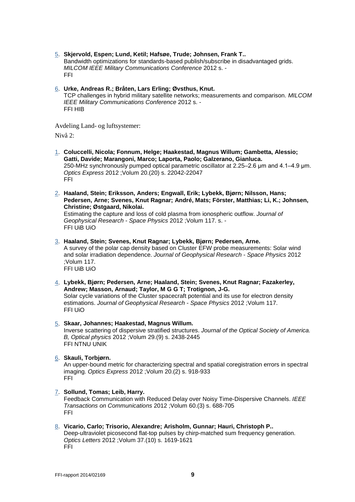- [5.](http://www.cristin.no/as/WebObjects/cristin.woa/wo/30.Profil.29.25.2.3.15.1.4.3) **Skjervold, Espen; Lund, Ketil; Hafsøe, Trude; Johnsen, Frank T..**  Bandwidth optimizations for standards-based publish/subscribe in disadvantaged grids. *MILCOM IEEE Military Communications Conference* 2012 s. - FFI
- [6.](http://www.cristin.no/as/WebObjects/cristin.woa/wo/30.Profil.29.25.2.3.15.1.5.3) **Urke, Andreas R.; Bråten, Lars Erling; Øvsthus, Knut.**  TCP challenges in hybrid military satellite networks; measurements and comparison. *MILCOM IEEE Military Communications Conference* 2012 s. - FFI HIB

Avdeling Land- og luftsystemer: Nivå 2:

- [1.](http://www.cristin.no/as/WebObjects/cristin.woa/wo/36.Profil.29.25.2.3.15.1.0.3) **Coluccelli, Nicola; Fonnum, Helge; Haakestad, Magnus Willum; Gambetta, Alessio; Gatti, Davide; Marangoni, Marco; Laporta, Paolo; Galzerano, Gianluca.**  250-MHz synchronously pumped optical parametric oscillator at 2.25–2.6 μm and 4.1–4.9 μm. *Optics Express* 2012 ;Volum 20.(20) s. 22042-22047 FFI
- [2.](http://www.cristin.no/as/WebObjects/cristin.woa/wo/36.Profil.29.25.2.3.15.1.1.3) **Haaland, Stein; Eriksson, Anders; Engwall, Erik; Lybekk, Bjørn; Nilsson, Hans; Pedersen, Arne; Svenes, Knut Ragnar; André, Mats; Förster, Matthias; Li, K.; Johnsen, Christine; Østgaard, Nikolai.**

Estimating the capture and loss of cold plasma from ionospheric outflow. *Journal of Geophysical Research - Space Physics* 2012 ;Volum 117. s. - FFI UiB UiO

- [3.](http://www.cristin.no/as/WebObjects/cristin.woa/wo/36.Profil.29.25.2.3.15.1.2.3) **Haaland, Stein; Svenes, Knut Ragnar; Lybekk, Bjørn; Pedersen, Arne.**  A survey of the polar cap density based on Cluster EFW probe measurements: Solar wind and solar irradiation dependence. *Journal of Geophysical Research - Space Physics* 2012 ;Volum 117. FFI UiB UiO
- [4.](http://www.cristin.no/as/WebObjects/cristin.woa/wo/36.Profil.29.25.2.3.15.1.3.3) **Lybekk, Bjørn; Pedersen, Arne; Haaland, Stein; Svenes, Knut Ragnar; Fazakerley, Andrew; Masson, Arnaud; Taylor, M G G T; Trotignon, J-G.** Solar cycle variations of the Cluster spacecraft potential and its use for electron density estimations. *Journal of Geophysical Research - Space Physics* 2012 ;Volum 117. FFI UiO
- [5.](http://www.cristin.no/as/WebObjects/cristin.woa/wo/36.Profil.29.25.2.3.15.1.4.3) **Skaar, Johannes; Haakestad, Magnus Willum.**  Inverse scattering of dispersive stratified structures. *Journal of the Optical Society of America. B, Optical physics* 2012 ;Volum 29.(9) s. 2438-2445 FFI NTNU UNIK
- [6.](http://www.cristin.no/as/WebObjects/cristin.woa/wo/36.Profil.29.25.2.3.15.1.5.3) **Skauli, Torbjørn.**

An upper-bound metric for characterizing spectral and spatial coregistration errors in spectral imaging. *Optics Express* 2012 ;Volum 20.(2) s. 918-933 FFI

[7.](http://www.cristin.no/as/WebObjects/cristin.woa/wo/36.Profil.29.25.2.3.15.1.6.3) **Sollund, Tomas; Leib, Harry.** 

Feedback Communication with Reduced Delay over Noisy Time-Dispersive Channels. *IEEE Transactions on Communications* 2012 ;Volum 60.(3) s. 688-705 FFI

[8.](http://www.cristin.no/as/WebObjects/cristin.woa/wo/36.Profil.29.25.2.3.15.1.7.3) **Vicario, Carlo; Trisorio, Alexandre; Arisholm, Gunnar; Hauri, Christoph P..**  Deep-ultraviolet picosecond flat-top pulses by chirp-matched sum frequency generation. *Optics Letters* 2012 ;Volum 37.(10) s. 1619-1621 FFI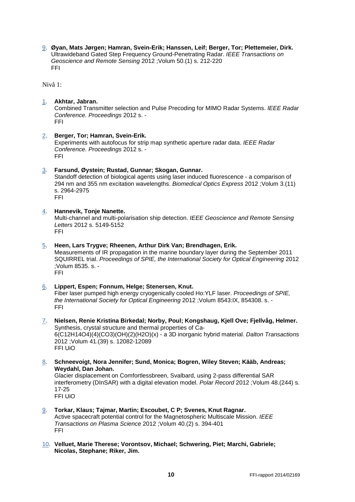[9.](http://www.cristin.no/as/WebObjects/cristin.woa/wo/36.Profil.29.25.2.3.15.1.8.3) **Øyan, Mats Jørgen; Hamran, Svein-Erik; Hanssen, Leif; Berger, Tor; Plettemeier, Dirk.**  Ultrawideband Gated Step Frequency Ground-Penetrating Radar. *IEEE Transactions on Geoscience and Remote Sensing* 2012 ;Volum 50.(1) s. 212-220 FFI

Nivå 1:

#### [1.](http://www.cristin.no/as/WebObjects/cristin.woa/wo/40.Profil.29.25.2.3.15.1.0.3) **Akhtar, Jabran.**

Combined Transmitter selection and Pulse Precoding for MIMO Radar Systems. *IEEE Radar Conference. Proceedings* 2012 s. - FFI

#### [2.](http://www.cristin.no/as/WebObjects/cristin.woa/wo/40.Profil.29.25.2.3.15.1.1.3) **Berger, Tor; Hamran, Svein-Erik.**

Experiments with autofocus for strip map synthetic aperture radar data. *IEEE Radar Conference. Proceedings* 2012 s. - FFI

#### [3.](http://www.cristin.no/as/WebObjects/cristin.woa/wo/40.Profil.29.25.2.3.15.1.2.3) **Farsund, Øystein; Rustad, Gunnar; Skogan, Gunnar.**

Standoff detection of biological agents using laser induced fluorescence - a comparison of 294 nm and 355 nm excitation wavelengths. *Biomedical Optics Express* 2012 ;Volum 3.(11) s. 2964-2975 FFI

#### [4.](http://www.cristin.no/as/WebObjects/cristin.woa/wo/40.Profil.29.25.2.3.15.1.3.3) **Hannevik, Tonje Nanette.**

Multi-channel and multi-polarisation ship detection. *IEEE Geoscience and Remote Sensing Letters* 2012 s. 5149-5152 FFI

#### [5.](http://www.cristin.no/as/WebObjects/cristin.woa/wo/40.Profil.29.25.2.3.15.1.4.3) **Heen, Lars Trygve; Rheenen, Arthur Dirk Van; Brendhagen, Erik.**

Measurements of IR propagation in the marine boundary layer during the September 2011 SQUIRREL trial. *Proceedings of SPIE, the International Society for Optical Engineering* 2012 ;Volum 8535. s. - FFI

#### [6.](http://www.cristin.no/as/WebObjects/cristin.woa/wo/40.Profil.29.25.2.3.15.1.5.3) **Lippert, Espen; Fonnum, Helge; Stenersen, Knut.**  Fiber laser pumped high energy cryogenically cooled Ho:YLF laser. *Proceedings of SPIE, the International Society for Optical Engineering* 2012 ;Volum 8543:IX, 854308. s. - FFI

- [7.](http://www.cristin.no/as/WebObjects/cristin.woa/wo/40.Profil.29.25.2.3.15.1.6.3) **Nielsen, Renie Kristina Birkedal; Norby, Poul; Kongshaug, Kjell Ove; Fjellvåg, Helmer.**  Synthesis, crystal structure and thermal properties of Ca-6(C12H14O4)(4)(CO3)(OH)(2)(H2O)(x) - a 3D inorganic hybrid material. *Dalton Transactions* 2012 ;Volum 41.(39) s. 12082-12089 FFI UiO
- [8.](http://www.cristin.no/as/WebObjects/cristin.woa/wo/40.Profil.29.25.2.3.15.1.7.3) **Schneevoigt, Nora Jennifer; Sund, Monica; Bogren, Wiley Steven; Kääb, Andreas; Weydahl, Dan Johan.**

Glacier displacement on Comfortlessbreen, Svalbard, using 2-pass differential SAR interferometry (DInSAR) with a digital elevation model. *Polar Record* 2012 ;Volum 48.(244) s. 17-25 FFI UiO

- [9.](http://www.cristin.no/as/WebObjects/cristin.woa/wo/40.Profil.29.25.2.3.15.1.8.3) **Torkar, Klaus; Tajmar, Martin; Escoubet, C P; Svenes, Knut Ragnar.**  Active spacecraft potential control for the Magnetospheric Multiscale Mission. *IEEE Transactions on Plasma Science* 2012 ;Volum 40.(2) s. 394-401 FFI
- [10.](http://www.cristin.no/as/WebObjects/cristin.woa/wo/40.Profil.29.25.2.3.15.1.9.3) **Velluet, Marie Therese; Vorontsov, Michael; Schwering, Piet; Marchi, Gabriele; Nicolas, Stephane; Riker, Jim.**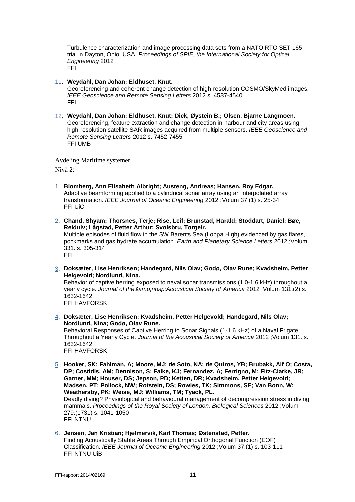Turbulence characterization and image processing data sets from a NATO RTO SET 165 trial in Dayton, Ohio, USA. *Proceedings of SPIE, the International Society for Optical Engineering* 2012 FFI

- [11.](http://www.cristin.no/as/WebObjects/cristin.woa/wo/40.Profil.29.25.2.3.15.1.10.3) **Weydahl, Dan Johan; Eldhuset, Knut.**  Georeferencing and coherent change detection of high-resolution COSMO/SkyMed images. *IEEE Geoscience and Remote Sensing Letters* 2012 s. 4537-4540 FFI
- [12.](http://www.cristin.no/as/WebObjects/cristin.woa/wo/40.Profil.29.25.2.3.15.1.11.3) **Weydahl, Dan Johan; Eldhuset, Knut; Dick, Øystein B.; Olsen, Bjarne Langmoen.**  Georeferencing, feature extraction and change detection in harbour and city areas using high-resolution satellite SAR images acquired from multiple sensors. *IEEE Geoscience and Remote Sensing Letters* 2012 s. 7452-7455 FFI UMB

Avdeling Maritime systemer

Nivå 2:

- [1.](http://www.cristin.no/as/WebObjects/cristin.woa/wo/46.Profil.29.25.2.3.15.1.0.3) **Blomberg, Ann Elisabeth Albright; Austeng, Andreas; Hansen, Roy Edgar.**  Adaptive beamforming applied to a cylindrical sonar array using an interpolated array transformation. *IEEE Journal of Oceanic Engineering* 2012 ;Volum 37.(1) s. 25-34 FFI UiO
- [2.](http://www.cristin.no/as/WebObjects/cristin.woa/wo/46.Profil.29.25.2.3.15.1.1.3) **Chand, Shyam; Thorsnes, Terje; Rise, Leif; Brunstad, Harald; Stoddart, Daniel; Bøe, Reidulv; Lågstad, Petter Arthur; Svolsbru, Torgeir.**  Multiple episodes of fluid flow in the SW Barents Sea (Loppa High) evidenced by gas flares, pockmarks and gas hydrate accumulation. *Earth and Planetary Science Letters* 2012 ;Volum 331. s. 305-314 FFI
- [3.](http://www.cristin.no/as/WebObjects/cristin.woa/wo/46.Profil.29.25.2.3.15.1.2.3) **Doksæter, Lise Henriksen; Handegard, Nils Olav; Godø, Olav Rune; Kvadsheim, Petter Helgevold; Nordlund, Nina.**  Behavior of captive herring exposed to naval sonar transmissions (1.0-1.6 kHz) throughout a

yearly cycle. *Journal of the Acoustical Society of America* 2012 ;Volum 131.(2) s. 1632-1642 FFI HAVFORSK

- [4.](http://www.cristin.no/as/WebObjects/cristin.woa/wo/46.Profil.29.25.2.3.15.1.3.3) **Doksæter, Lise Henriksen; Kvadsheim, Petter Helgevold; Handegard, Nils Olav; Nordlund, Nina; Godø, Olav Rune.**  Behavioral Responses of Captive Herring to Sonar Signals (1-1.6 kHz) of a Naval Frigate Throughout a Yearly Cycle. *Journal of the Acoustical Society of America* 2012 ;Volum 131. s. 1632-1642 FFI HAVFORSK
- [5.](http://www.cristin.no/as/WebObjects/cristin.woa/wo/46.Profil.29.25.2.3.15.1.4.3) **Hooker, SK; Fahlman, A; Moore, MJ; de Soto, NA; de Quiros, YB; Brubakk, Alf O; Costa, DP; Costidis, AM; Dennison, S; Falke, KJ; Fernandez, A; Ferrigno, M; Fitz-Clarke, JR; Garner, MM; Houser, DS; Jepson, PD; Ketten, DR; Kvadsheim, Petter Helgevold; Madsen, PT; Pollock, NW; Rotstein, DS; Rowles, TK; Simmons, SE; Van Bonn, W; Weathersby, PK; Weise, MJ; Williams, TM; Tyack, PL.**  Deadly diving? Physiological and behavioural management of decompression stress in diving mammals. *Proceedings of the Royal Society of London. Biological Sciences* 2012 ;Volum

279.(1731) s. 1041-1050 FFI NTNU

[6.](http://www.cristin.no/as/WebObjects/cristin.woa/wo/46.Profil.29.25.2.3.15.1.5.3) **Jensen, Jan Kristian; Hjelmervik, Karl Thomas; Østenstad, Petter.**  Finding Acoustically Stable Areas Through Empirical Orthogonal Function (EOF) Classification. *IEEE Journal of Oceanic Engineering* 2012 ;Volum 37.(1) s. 103-111 FFI NTNU UiB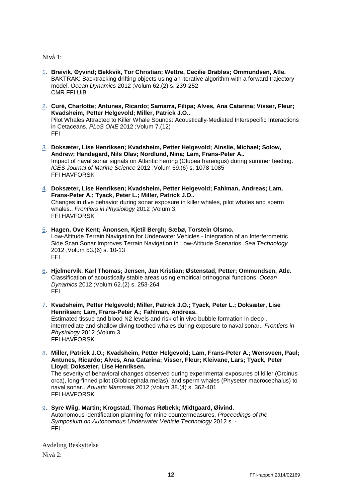Nivå 1:

- [1.](http://www.cristin.no/as/WebObjects/cristin.woa/wo/50.Profil.29.25.2.3.15.1.0.3) **Breivik, Øyvind; Bekkvik, Tor Christian; Wettre, Cecilie Drabløs; Ommundsen, Atle.**  BAKTRAK: Backtracking drifting objects using an iterative algorithm with a forward trajectory model. *Ocean Dynamics* 2012 ;Volum 62.(2) s. 239-252 CMR FFI UiB
- [2.](http://www.cristin.no/as/WebObjects/cristin.woa/wo/50.Profil.29.25.2.3.15.1.1.3) **Curé, Charlotte; Antunes, Ricardo; Samarra, Filipa; Alves, Ana Catarina; Visser, Fleur; Kvadsheim, Petter Helgevold; Miller, Patrick J.O..**  Pilot Whales Attracted to Killer Whale Sounds: Acoustically-Mediated Interspecific Interactions in Cetaceans. *PLoS ONE* 2012 ;Volum 7.(12) FFI
- [3.](http://www.cristin.no/as/WebObjects/cristin.woa/wo/50.Profil.29.25.2.3.15.1.2.3) **Doksæter, Lise Henriksen; Kvadsheim, Petter Helgevold; Ainslie, Michael; Solow, Andrew; Handegard, Nils Olav; Nordlund, Nina; Lam, Frans-Peter A..**  Impact of naval sonar signals on Atlantic herring (Clupea harengus) during summer feeding. *ICES Journal of Marine Science* 2012 ;Volum 69.(6) s. 1078-1085 FFI HAVFORSK
- [4.](http://www.cristin.no/as/WebObjects/cristin.woa/wo/50.Profil.29.25.2.3.15.1.3.3) **Doksæter, Lise Henriksen; Kvadsheim, Petter Helgevold; Fahlman, Andreas; Lam, Frans-Peter A.; Tyack, Peter L.; Miller, Patrick J.O..**  Changes in dive behavior during sonar exposure in killer whales, pilot whales and sperm whales.. *Frontiers in Physiology* 2012 ;Volum 3. FFI HAVFORSK
- [5.](http://www.cristin.no/as/WebObjects/cristin.woa/wo/50.Profil.29.25.2.3.15.1.4.3) **Hagen, Ove Kent; Ånonsen, Kjetil Bergh; Sæbø, Torstein Olsmo.**  Low-Altitude Terrain Navigation for Underwater Vehicles - Integration of an Interferometric Side Scan Sonar Improves Terrain Navigation in Low-Altitude Scenarios. *Sea Technology* 2012 ;Volum 53.(6) s. 10-13 FFI
- [6.](http://www.cristin.no/as/WebObjects/cristin.woa/wo/50.Profil.29.25.2.3.15.1.5.3) **Hjelmervik, Karl Thomas; Jensen, Jan Kristian; Østenstad, Petter; Ommundsen, Atle.**  Classification of acoustically stable areas using empirical orthogonal functions. *Ocean Dynamics* 2012 ;Volum 62.(2) s. 253-264 FFI
- [7.](http://www.cristin.no/as/WebObjects/cristin.woa/wo/50.Profil.29.25.2.3.15.1.6.3) **Kvadsheim, Petter Helgevold; Miller, Patrick J.O.; Tyack, Peter L.; Doksæter, Lise Henriksen; Lam, Frans-Peter A.; Fahlman, Andreas.**  Estimated tissue and blood N2 levels and risk of in vivo bubble formation in deep-, intermediate and shallow diving toothed whales during exposure to naval sonar.. *Frontiers in Physiology* 2012 ;Volum 3. FFI HAVFORSK
- [8.](http://www.cristin.no/as/WebObjects/cristin.woa/wo/50.Profil.29.25.2.3.15.1.7.3) **Miller, Patrick J.O.; Kvadsheim, Petter Helgevold; Lam, Frans-Peter A.; Wensveen, Paul; Antunes, Ricardo; Alves, Ana Catarina; Visser, Fleur; Kleivane, Lars; Tyack, Peter Lloyd; Doksæter, Lise Henriksen.**

The severity of behavioral changes observed during experimental exposures of killer (Orcinus orca), long-finned pilot (Globicephala melas), and sperm whales (Physeter macrocephalus) to naval sonar.. *Aquatic Mammals* 2012 ;Volum 38.(4) s. 362-401 FFI HAVFORSK

[9.](http://www.cristin.no/as/WebObjects/cristin.woa/wo/50.Profil.29.25.2.3.15.1.8.3) **Syre Wiig, Martin; Krogstad, Thomas Røbekk; Midtgaard, Øivind.**  Autonomous identification planning for mine countermeasures. *Proceedings of the Symposium on Autonomous Underwater Vehicle Technology* 2012 s. - FFI

Avdeling Beskyttelse Nivå 2: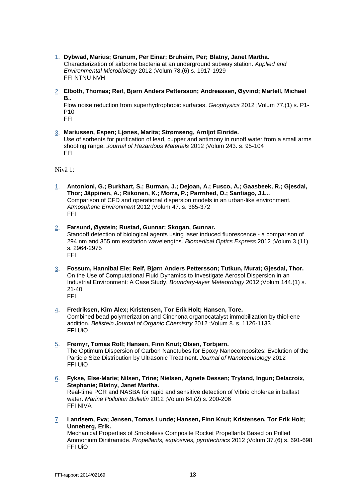- [1.](http://www.cristin.no/as/WebObjects/cristin.woa/wo/56.Profil.29.25.2.3.15.1.0.3) **Dybwad, Marius; Granum, Per Einar; Bruheim, Per; Blatny, Janet Martha.**  Characterization of airborne bacteria at an underground subway station. *Applied and Environmental Microbiology* 2012 ;Volum 78.(6) s. 1917-1929 FFI NTNU NVH
- [2.](http://www.cristin.no/as/WebObjects/cristin.woa/wo/56.Profil.29.25.2.3.15.1.1.3) **Elboth, Thomas; Reif, Bjørn Anders Pettersson; Andreassen, Øyvind; Martell, Michael B..**

Flow noise reduction from superhydrophobic surfaces. *Geophysics* 2012 ;Volum 77.(1) s. P1- P10

- FFI
- [3.](http://www.cristin.no/as/WebObjects/cristin.woa/wo/56.Profil.29.25.2.3.15.1.2.3) **Mariussen, Espen; Ljønes, Marita; Strømseng, Arnljot Einride.**  Use of sorbents for purification of lead, cupper and antimony in runoff water from a small arms shooting range. *Journal of Hazardous Materials* 2012 ;Volum 243. s. 95-104 FFI

Nivå 1:

- [1.](http://www.cristin.no/as/WebObjects/cristin.woa/wo/60.Profil.29.25.2.3.15.1.0.3) **Antonioni, G.; Burkhart, S.; Burman, J.; Dejoan, A.; Fusco, A.; Gaasbeek, R.; Gjesdal, Thor; Jäppinen, A.; Riikonen, K.; Morra, P.; Parrnhed, O.; Santiago, J.L..**  Comparison of CFD and operational dispersion models in an urban-like environment. *Atmospheric Environment* 2012 ;Volum 47. s. 365-372 FFI
- [2.](http://www.cristin.no/as/WebObjects/cristin.woa/wo/60.Profil.29.25.2.3.15.1.1.3) **Farsund, Øystein; Rustad, Gunnar; Skogan, Gunnar.**  Standoff detection of biological agents using laser induced fluorescence - a comparison of 294 nm and 355 nm excitation wavelengths. *Biomedical Optics Express* 2012 ;Volum 3.(11) s. 2964-2975 FFI
- [3.](http://www.cristin.no/as/WebObjects/cristin.woa/wo/60.Profil.29.25.2.3.15.1.2.3) **Fossum, Hannibal Eie; Reif, Bjørn Anders Pettersson; Tutkun, Murat; Gjesdal, Thor.**  On the Use of Computational Fluid Dynamics to Investigate Aerosol Dispersion in an Industrial Environment: A Case Study. *Boundary-layer Meteorology* 2012 ;Volum 144.(1) s. 21-40 FFI
- [4.](http://www.cristin.no/as/WebObjects/cristin.woa/wo/60.Profil.29.25.2.3.15.1.3.3) **Fredriksen, Kim Alex; Kristensen, Tor Erik Holt; Hansen, Tore.**  Combined bead polymerization and Cinchona organocatalyst immobilization by thiol-ene addition. *Beilstein Journal of Organic Chemistry* 2012 ;Volum 8. s. 1126-1133 FFI UiO
- [5.](http://www.cristin.no/as/WebObjects/cristin.woa/wo/60.Profil.29.25.2.3.15.1.4.3) **Frømyr, Tomas Roll; Hansen, Finn Knut; Olsen, Torbjørn.**  The Optimum Dispersion of Carbon Nanotubes for Epoxy Nanocomposites: Evolution of the Particle Size Distribution by Ultrasonic Treatment. *Journal of Nanotechnology* 2012 FFI UiO
- [6.](http://www.cristin.no/as/WebObjects/cristin.woa/wo/60.Profil.29.25.2.3.15.1.5.3) **Fykse, Else-Marie; Nilsen, Trine; Nielsen, Agnete Dessen; Tryland, Ingun; Delacroix, Stephanie; Blatny, Janet Martha.**  Real-time PCR and NASBA for rapid and sensitive detection of Vibrio cholerae in ballast water. *Marine Pollution Bulletin* 2012 ;Volum 64.(2) s. 200-206 FFI NIVA
- [7.](http://www.cristin.no/as/WebObjects/cristin.woa/wo/60.Profil.29.25.2.3.15.1.6.3) **Landsem, Eva; Jensen, Tomas Lunde; Hansen, Finn Knut; Kristensen, Tor Erik Holt; Unneberg, Erik.**  Mechanical Properties of Smokeless Composite Rocket Propellants Based on Prilled Ammonium Dinitramide. *Propellants, explosives, pyrotechnics* 2012 ;Volum 37.(6) s. 691-698 FFI UiO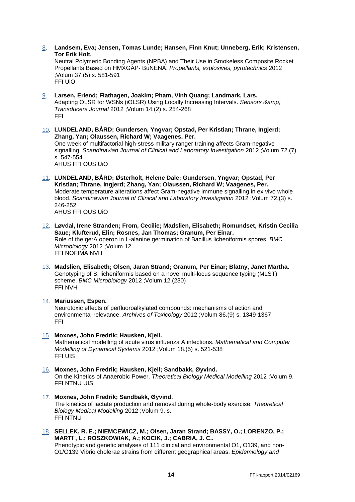[8.](http://www.cristin.no/as/WebObjects/cristin.woa/wo/60.Profil.29.25.2.3.15.1.7.3) **Landsem, Eva; Jensen, Tomas Lunde; Hansen, Finn Knut; Unneberg, Erik; Kristensen, Tor Erik Holt.** 

Neutral Polymeric Bonding Agents (NPBA) and Their Use in Smokeless Composite Rocket Propellants Based on HMXGAP- BuNENA. *Propellants, explosives, pyrotechnics* 2012 ;Volum 37.(5) s. 581-591 FFI UiO

- [9.](http://www.cristin.no/as/WebObjects/cristin.woa/wo/60.Profil.29.25.2.3.15.1.8.3) **Larsen, Erlend; Flathagen, Joakim; Pham, Vinh Quang; Landmark, Lars.**  Adapting OLSR for WSNs (iOLSR) Using Locally Increasing Intervals. *Sensors & Transducers Journal* 2012 ;Volum 14.(2) s. 254-268 FFI
- [10.](http://www.cristin.no/as/WebObjects/cristin.woa/wo/60.Profil.29.25.2.3.15.1.9.3) **LUNDELAND, BÅRD; Gundersen, Yngvar; Opstad, Per Kristian; Thrane, Ingjerd; Zhang, Yan; Olaussen, Richard W; Vaagenes, Per.**  One week of multifactorial high-stress military ranger training affects Gram-negative signalling. *Scandinavian Journal of Clinical and Laboratory Investigation* 2012 ;Volum 72.(7) s. 547-554 AHUS FFI OUS UiO
- [11.](http://www.cristin.no/as/WebObjects/cristin.woa/wo/60.Profil.29.25.2.3.15.1.10.3) **LUNDELAND, BÅRD; Østerholt, Helene Dale; Gundersen, Yngvar; Opstad, Per Kristian; Thrane, Ingjerd; Zhang, Yan; Olaussen, Richard W; Vaagenes, Per.**  Moderate temperature alterations affect Gram-negative immune signalling in ex vivo whole blood. *Scandinavian Journal of Clinical and Laboratory Investigation* 2012 ;Volum 72.(3) s. 246-252 AHUS FFI OUS UiO
- [12.](http://www.cristin.no/as/WebObjects/cristin.woa/wo/60.Profil.29.25.2.3.15.1.11.3) **Løvdal, Irene Stranden; From, Cecilie; Madslien, Elisabeth; Romundset, Kristin Cecilia Saue; Klufterud, Elin; Rosnes, Jan Thomas; Granum, Per Einar.**  Role of the gerA operon in L-alanine germination of Bacillus licheniformis spores. *BMC Microbiology* 2012 ;Volum 12. FFI NOFIMA NVH
- [13.](http://www.cristin.no/as/WebObjects/cristin.woa/wo/60.Profil.29.25.2.3.15.1.12.3) **Madslien, Elisabeth; Olsen, Jaran Strand; Granum, Per Einar; Blatny, Janet Martha.**  Genotyping of B. licheniformis based on a novel multi-locus sequence typing (MLST) scheme. *BMC Microbiology* 2012 ;Volum 12.(230) FFI NVH
- [14.](http://www.cristin.no/as/WebObjects/cristin.woa/wo/60.Profil.29.25.2.3.15.1.13.3) **Mariussen, Espen.**

Neurotoxic effects of perfluoroalkylated compounds: mechanisms of action and environmental relevance. *Archives of Toxicology* 2012 ;Volum 86.(9) s. 1349-1367 FFI

- [15.](http://www.cristin.no/as/WebObjects/cristin.woa/wo/60.Profil.29.25.2.3.15.1.14.3) **Moxnes, John Fredrik; Hausken, Kjell.**  Mathematical modelling of acute virus influenza A infections. *Mathematical and Computer Modelling of Dynamical Systems* 2012 ;Volum 18.(5) s. 521-538 FFI UIS
- [16.](http://www.cristin.no/as/WebObjects/cristin.woa/wo/60.Profil.29.25.2.3.15.1.15.3) **Moxnes, John Fredrik; Hausken, Kjell; Sandbakk, Øyvind.**  On the Kinetics of Anaerobic Power. *Theoretical Biology Medical Modelling* 2012 ;Volum 9. FFI NTNU UIS
- [17.](http://www.cristin.no/as/WebObjects/cristin.woa/wo/60.Profil.29.25.2.3.15.1.16.3) **Moxnes, John Fredrik; Sandbakk, Øyvind.**  The kinetics of lactate production and removal during whole-body exercise. *Theoretical Biology Medical Modelling* 2012 ;Volum 9. s. - FFI NTNU
- [18.](http://www.cristin.no/as/WebObjects/cristin.woa/wo/60.Profil.29.25.2.3.15.1.17.3) **SELLEK, R. E.; NIEMCEWICZ, M.; Olsen, Jaran Strand; BASSY, O.; LORENZO, P.; MARTI´, L.; ROSZKOWIAK, A.; KOCIK, J.; CABRIA, J. C..**  Phenotypic and genetic analyses of 111 clinical and environmental O1, O139, and non-O1/O139 Vibrio cholerae strains from different geographical areas. *Epidemiology and*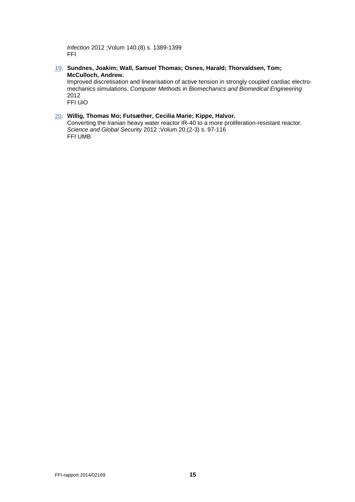*Infection* 2012 ;Volum 140.(8) s. 1389-1399 FFI

[19.](http://www.cristin.no/as/WebObjects/cristin.woa/wo/60.Profil.29.25.2.3.15.1.18.3) **Sundnes, Joakim; Wall, Samuel Thomas; Osnes, Harald; Thorvaldsen, Tom; McCulloch, Andrew.** 

Improved discretisation and linearisation of active tension in strongly coupled cardiac electromechanics simulations. *Computer Methods in Biomechanics and Biomedical Engineering* 2012 FFI UiO

#### [20.](http://www.cristin.no/as/WebObjects/cristin.woa/wo/60.Profil.29.25.2.3.15.1.19.3) **Willig, Thomas Mo; Futsæther, Cecilia Marie; Kippe, Halvor.**

Converting the Iranian heavy water reactor IR-40 to a more proliferation-resistant reactor. *Science and Global Security* 2012 ;Volum 20.(2-3) s. 97-116 FFI UMB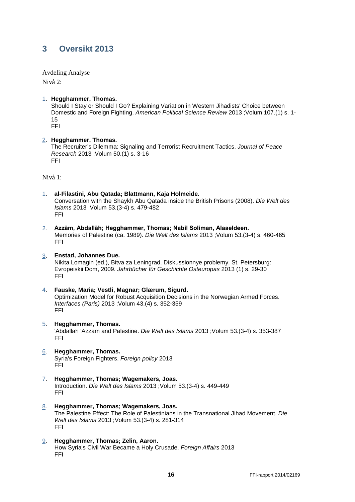### <span id="page-17-0"></span>**3 Oversikt 2013**

Avdeling Analyse

Nivå 2:

[1.](http://www.cristin.no/as/WebObjects/cristin.woa/wo/75.Profil.29.25.2.3.15.1.0.3) **Hegghammer, Thomas.** 

Should I Stay or Should I Go? Explaining Variation in Western Jihadists' Choice between Domestic and Foreign Fighting. *American Political Science Review* 2013 ;Volum 107.(1) s. 1- 15

FFI

#### [2.](http://www.cristin.no/as/WebObjects/cristin.woa/wo/75.Profil.29.25.2.3.15.1.1.3) **Hegghammer, Thomas.**

The Recruiter's Dilemma: Signaling and Terrorist Recruitment Tactics. *Journal of Peace Research* 2013 ;Volum 50.(1) s. 3-16 FFI

Nivå 1:

- [1.](http://www.cristin.no/as/WebObjects/cristin.woa/wo/79.Profil.29.25.2.3.15.1.0.3) **al-Filastini, Abu Qatada; Blattmann, Kaja Holmeide.**  Conversation with the Shaykh Abu Qatada inside the British Prisons (2008). *Die Welt des Islams* 2013 ;Volum 53.(3-4) s. 479-482 FFI
- [2.](http://www.cristin.no/as/WebObjects/cristin.woa/wo/79.Profil.29.25.2.3.15.1.1.3) **Azzām, Abdallāh; Hegghammer, Thomas; Nabil Soliman, Alaaeldeen.**  Memories of Palestine (ca. 1989). *Die Welt des Islams* 2013 ;Volum 53.(3-4) s. 460-465 FFI

### [3.](http://www.cristin.no/as/WebObjects/cristin.woa/wo/79.Profil.29.25.2.3.15.1.2.3) **Enstad, Johannes Due.**

Nikita Lomagin (ed.), Bitva za Leningrad. Diskussionnye problemy, St. Petersburg: Evropeiskii Dom, 2009. *Jahrbücher für Geschichte Osteuropas* 2013 (1) s. 29-30 FFI

- [4.](http://www.cristin.no/as/WebObjects/cristin.woa/wo/79.Profil.29.25.2.3.15.1.3.3) **Fauske, Maria; Vestli, Magnar; Glærum, Sigurd.**  Optimization Model for Robust Acquisition Decisions in the Norwegian Armed Forces. *Interfaces (Paris)* 2013 ;Volum 43.(4) s. 352-359 FFI
- [5.](http://www.cristin.no/as/WebObjects/cristin.woa/wo/79.Profil.29.25.2.3.15.1.4.3) **Hegghammer, Thomas.**  'Abdallah 'Azzam and Palestine. *Die Welt des Islams* 2013 ;Volum 53.(3-4) s. 353-387 FFI
- [6.](http://www.cristin.no/as/WebObjects/cristin.woa/wo/79.Profil.29.25.2.3.15.1.5.3) **Hegghammer, Thomas.**  Syria's Foreign Fighters. *Foreign policy* 2013 FFI
- [7.](http://www.cristin.no/as/WebObjects/cristin.woa/wo/79.Profil.29.25.2.3.15.1.6.3) **Hegghammer, Thomas; Wagemakers, Joas.**  Introduction. *Die Welt des Islams* 2013 ;Volum 53.(3-4) s. 449-449 FFI
- [8.](http://www.cristin.no/as/WebObjects/cristin.woa/wo/79.Profil.29.25.2.3.15.1.7.3) **Hegghammer, Thomas; Wagemakers, Joas.**  The Palestine Effect: The Role of Palestinians in the Transnational Jihad Movement. *Die Welt des Islams* 2013 ;Volum 53.(3-4) s. 281-314 FFI
- [9.](http://www.cristin.no/as/WebObjects/cristin.woa/wo/79.Profil.29.25.2.3.15.1.8.3) **Hegghammer, Thomas; Zelin, Aaron.**  How Syria's Civil War Became a Holy Crusade. *Foreign Affairs* 2013 FFI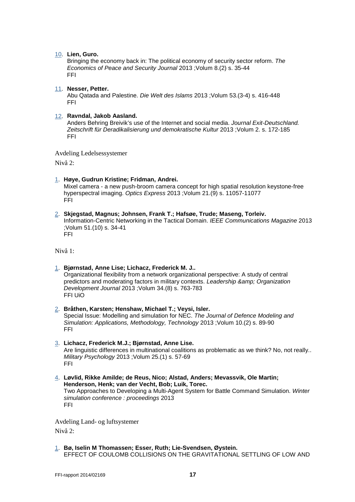#### [10.](http://www.cristin.no/as/WebObjects/cristin.woa/wo/79.Profil.29.25.2.3.15.1.9.3) **Lien, Guro.**

Bringing the economy back in: The political economy of security sector reform. *The Economics of Peace and Security Journal* 2013 ;Volum 8.(2) s. 35-44 FFI

#### [11.](http://www.cristin.no/as/WebObjects/cristin.woa/wo/79.Profil.29.25.2.3.15.1.10.3) **Nesser, Petter.**

Abu Qatada and Palestine. *Die Welt des Islams* 2013 ;Volum 53.(3-4) s. 416-448 FFI

#### [12.](http://www.cristin.no/as/WebObjects/cristin.woa/wo/79.Profil.29.25.2.3.15.1.11.3) **Ravndal, Jakob Aasland.**

Anders Behring Breivik's use of the Internet and social media. *Journal Exit-Deutschland. Zeitschrift für Deradikalisierung und demokratische Kultur* 2013 ;Volum 2. s. 172-185 FFI

Avdeling Ledelsessystemer

Nivå 2:

[1.](http://www.cristin.no/as/WebObjects/cristin.woa/wo/85.Profil.29.25.2.3.15.1.0.3) **Høye, Gudrun Kristine; Fridman, Andrei.** 

Mixel camera - a new push-broom camera concept for high spatial resolution keystone-free hyperspectral imaging. *Optics Express* 2013 ;Volum 21.(9) s. 11057-11077 FFI

[2.](http://www.cristin.no/as/WebObjects/cristin.woa/wo/85.Profil.29.25.2.3.15.1.1.3) **Skjegstad, Magnus; Johnsen, Frank T.; Hafsøe, Trude; Maseng, Torleiv.**  Information-Centric Networking in the Tactical Domain. *IEEE Communications Magazine* 2013 ;Volum 51.(10) s. 34-41 FFI

Nivå 1:

- [1.](http://www.cristin.no/as/WebObjects/cristin.woa/wo/89.Profil.29.25.2.3.15.1.0.3) **Bjørnstad, Anne Lise; Lichacz, Frederick M. J..**  Organizational flexibility from a network organizational perspective: A study of central predictors and moderating factors in military contexts. *Leadership & amp*; Organization *Development Journal* 2013 ;Volum 34.(8) s. 763-783 FFI UiO
- [2.](http://www.cristin.no/as/WebObjects/cristin.woa/wo/89.Profil.29.25.2.3.15.1.1.3) **Bråthen, Karsten; Henshaw, Michael T.; Veysi, Isler.**  Special Issue: Modelling and simulation for NEC. *The Journal of Defence Modeling and Simulation: Applications, Methodology, Technology* 2013 ;Volum 10.(2) s. 89-90 FFI
- [3.](http://www.cristin.no/as/WebObjects/cristin.woa/wo/89.Profil.29.25.2.3.15.1.2.3) **Lichacz, Frederick M.J.; Bjørnstad, Anne Lise.**  Are linguistic differences in multinational coalitions as problematic as we think? No, not really.. *Military Psychology* 2013 ;Volum 25.(1) s. 57-69 FFI
- [4.](http://www.cristin.no/as/WebObjects/cristin.woa/wo/89.Profil.29.25.2.3.15.1.3.3) **Løvlid, Rikke Amilde; de Reus, Nico; Alstad, Anders; Mevassvik, Ole Martin; Henderson, Henk; van der Vecht, Bob; Luik, Torec.**  Two Approaches to Developing a Multi-Agent System for Battle Command Simulation. *Winter simulation conference : proceedings* 2013 FFI

Avdeling Land- og luftsystemer Nivå 2:

[1.](http://www.cristin.no/as/WebObjects/cristin.woa/wo/95.Profil.29.25.2.3.15.1.0.3) **Bø, Iselin M Thomassen; Esser, Ruth; Lie-Svendsen, Øystein.**  EFFECT OF COULOMB COLLISIONS ON THE GRAVITATIONAL SETTLING OF LOW AND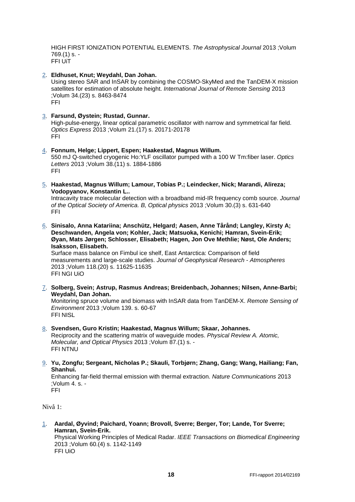HIGH FIRST IONIZATION POTENTIAL ELEMENTS. *The Astrophysical Journal* 2013 ;Volum 769.(1) s. - FFI UiT

[2.](http://www.cristin.no/as/WebObjects/cristin.woa/wo/95.Profil.29.25.2.3.15.1.1.3) **Eldhuset, Knut; Weydahl, Dan Johan.** 

Using stereo SAR and InSAR by combining the COSMO-SkyMed and the TanDEM-X mission satellites for estimation of absolute height. *International Journal of Remote Sensing* 2013 ;Volum 34.(23) s. 8463-8474 FFI

#### [3.](http://www.cristin.no/as/WebObjects/cristin.woa/wo/95.Profil.29.25.2.3.15.1.2.3) **Farsund, Øystein; Rustad, Gunnar.**

High-pulse-energy, linear optical parametric oscillator with narrow and symmetrical far field. *Optics Express* 2013 ;Volum 21.(17) s. 20171-20178 FFI

- [4.](http://www.cristin.no/as/WebObjects/cristin.woa/wo/95.Profil.29.25.2.3.15.1.3.3) **Fonnum, Helge; Lippert, Espen; Haakestad, Magnus Willum.**  550 mJ Q-switched cryogenic Ho:YLF oscillator pumped with a 100 W Tm:fiber laser. *Optics Letters* 2013 ;Volum 38.(11) s. 1884-1886 FFI
- [5.](http://www.cristin.no/as/WebObjects/cristin.woa/wo/95.Profil.29.25.2.3.15.1.4.3) **Haakestad, Magnus Willum; Lamour, Tobias P.; Leindecker, Nick; Marandi, Alireza; Vodopyanov, Konstantin L..**

Intracavity trace molecular detection with a broadband mid-IR frequency comb source. *Journal of the Optical Society of America. B, Optical physics* 2013 ;Volum 30.(3) s. 631-640 FFI

[6.](http://www.cristin.no/as/WebObjects/cristin.woa/wo/95.Profil.29.25.2.3.15.1.5.3) **Sinisalo, Anna Katariina; Anschütz, Helgard; Aasen, Anne Tårånd; Langley, Kirsty A; Deschwanden, Angela von; Kohler, Jack; Matsuoka, Kenichi; Hamran, Svein-Erik; Øyan, Mats Jørgen; Schlosser, Elisabeth; Hagen, Jon Ove Methlie; Nøst, Ole Anders; Isaksson, Elisabeth.** 

Surface mass balance on Fimbul ice shelf, East Antarctica: Comparison of field measurements and large-scale studies. *Journal of Geophysical Research - Atmospheres* 2013 ;Volum 118.(20) s. 11625-11635 FFI NGI UiO

[7.](http://www.cristin.no/as/WebObjects/cristin.woa/wo/95.Profil.29.25.2.3.15.1.6.3) **Solberg, Svein; Astrup, Rasmus Andreas; Breidenbach, Johannes; Nilsen, Anne-Barbi; Weydahl, Dan Johan.** 

Monitoring spruce volume and biomass with InSAR data from TanDEM-X. *Remote Sensing of Environment* 2013 ;Volum 139. s. 60-67 FFI NISL

- [8.](http://www.cristin.no/as/WebObjects/cristin.woa/wo/95.Profil.29.25.2.3.15.1.7.3) **Svendsen, Guro Kristin; Haakestad, Magnus Willum; Skaar, Johannes.**  Reciprocity and the scattering matrix of waveguide modes. *Physical Review A. Atomic, Molecular, and Optical Physics* 2013 ;Volum 87.(1) s. - FFI NTNU
- [9.](http://www.cristin.no/as/WebObjects/cristin.woa/wo/95.Profil.29.25.2.3.15.1.8.3) **Yu, Zongfu; Sergeant, Nicholas P.; Skauli, Torbjørn; Zhang, Gang; Wang, Hailiang; Fan, Shanhui.**

Enhancing far-field thermal emission with thermal extraction. *Nature Communications* 2013 ;Volum 4. s. - FFI

Nivå 1:

[1.](http://www.cristin.no/as/WebObjects/cristin.woa/wo/99.Profil.29.25.2.3.15.1.0.3) **Aardal, Øyvind; Paichard, Yoann; Brovoll, Sverre; Berger, Tor; Lande, Tor Sverre; Hamran, Svein-Erik.** 

Physical Working Principles of Medical Radar. *IEEE Transactions on Biomedical Engineering* 2013 ;Volum 60.(4) s. 1142-1149 FFI UiO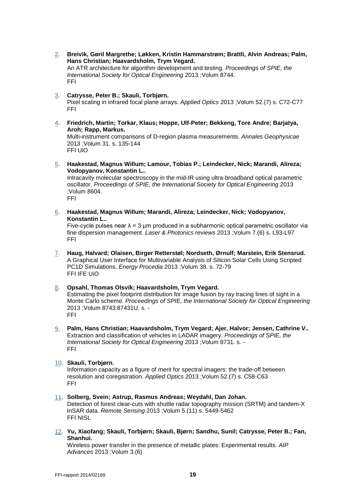- [2.](http://www.cristin.no/as/WebObjects/cristin.woa/wo/99.Profil.29.25.2.3.15.1.1.3) **Breivik, Gøril Margrethe; Løkken, Kristin Hammarstrøm; Brattli, Alvin Andreas; Palm, Hans Christian; Haavardsholm, Trym Vegard.**  An ATR architecture for algorithm development and testing. *Proceedings of SPIE, the International Society for Optical Engineering* 2013 ;Volum 8744. FFI
- [3.](http://www.cristin.no/as/WebObjects/cristin.woa/wo/99.Profil.29.25.2.3.15.1.2.3) **Catrysse, Peter B.; Skauli, Torbjørn.**  Pixel scaling in infrared focal plane arrays. *Applied Optics* 2013 ;Volum 52.(7) s. C72-C77 FFI
- [4.](http://www.cristin.no/as/WebObjects/cristin.woa/wo/99.Profil.29.25.2.3.15.1.3.3) **Friedrich, Martin; Torkar, Klaus; Hoppe, Ulf-Peter; Bekkeng, Tore Andre; Barjatya, Aroh; Rapp, Markus.**  Multi-instrument comparisons of D-region plasma measurements. *Annales Geophysicae* 2013 ;Volum 31. s. 135-144 FFI UiO

[5.](http://www.cristin.no/as/WebObjects/cristin.woa/wo/99.Profil.29.25.2.3.15.1.4.3) **Haakestad, Magnus Willum; Lamour, Tobias P.; Leindecker, Nick; Marandi, Alireza; Vodopyanov, Konstantin L..** 

Intracavity molecular spectroscopy in the mid-IR using ultra-broadband optical parametric oscillator. *Proceedings of SPIE, the International Society for Optical Engineering* 2013 ;Volum 8604. FFI

[6.](http://www.cristin.no/as/WebObjects/cristin.woa/wo/99.Profil.29.25.2.3.15.1.5.3) **Haakestad, Magnus Willum; Marandi, Alireza; Leindecker, Nick; Vodopyanov, Konstantin L..** 

Five-cycle pulses near  $\lambda = 3$  µm produced in a subharmonic optical parametric oscillator via fine dispersion management. *Laser & Photonics reviews* 2013 ;Volum 7.(6) s. L93-L97 FFI

- [7.](http://www.cristin.no/as/WebObjects/cristin.woa/wo/99.Profil.29.25.2.3.15.1.6.3) **Haug, Halvard; Olaisen, Birger Retterstøl; Nordseth, Ørnulf; Marstein, Erik Stensrud.**  A Graphical User Interface for Multivariable Analysis of Silicon Solar Cells Using Scripted PC1D Simulations. *Energy Procedia* 2013 ;Volum 38. s. 72-79 FFI IFE UiO
- [8.](http://www.cristin.no/as/WebObjects/cristin.woa/wo/99.Profil.29.25.2.3.15.1.7.3) **Opsahl, Thomas Olsvik; Haavardsholm, Trym Vegard.**  Estimating the pixel footprint distribution for image fusion by ray tracing lines of sight in a Monte Carlo scheme. *Proceedings of SPIE, the International Society for Optical Engineering* 2013 ;Volum 8743:87431U. s. - FFI
- [9.](http://www.cristin.no/as/WebObjects/cristin.woa/wo/99.Profil.29.25.2.3.15.1.8.3) **Palm, Hans Christian; Haavardsholm, Trym Vegard; Ajer, Halvor; Jensen, Cathrine V..**  Extraction and classification of vehicles in LADAR imagery. *Proceedings of SPIE, the International Society for Optical Engineering* 2013 ;Volum 8731. s. - FFI
- [10.](http://www.cristin.no/as/WebObjects/cristin.woa/wo/99.Profil.29.25.2.3.15.1.9.3) **Skauli, Torbjørn.**

Information capacity as a figure of merit for spectral imagers: the trade-off between resolution and coregistration. *Applied Optics* 2013 ;Volum 52.(7) s. C58-C63 FFI

- [11.](http://www.cristin.no/as/WebObjects/cristin.woa/wo/99.Profil.29.25.2.3.15.1.10.3) **Solberg, Svein; Astrup, Rasmus Andreas; Weydahl, Dan Johan.**  Detection of forest clear-cuts with shuttle radar topography mission (SRTM) and tandem-X InSAR data. *Remote Sensing* 2013 ;Volum 5.(11) s. 5449-5462 FFI NISL
- [12.](http://www.cristin.no/as/WebObjects/cristin.woa/wo/99.Profil.29.25.2.3.15.1.11.3) **Yu, Xiaofang; Skauli, Torbjørn; Skauli, Bjørn; Sandhu, Sunil; Catrysse, Peter B.; Fan, Shanhui.**

Wireless power transfer in the presence of metallic plates: Experimental results. *AIP Advances* 2013 ;Volum 3.(6)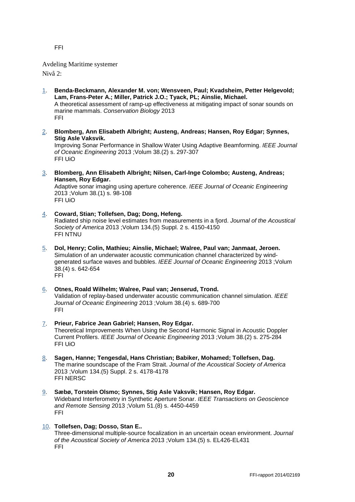FFI

Avdeling Maritime systemer

Nivå 2:

- [1.](http://www.cristin.no/as/WebObjects/cristin.woa/wo/105.Profil.29.25.2.3.15.1.0.3) **Benda-Beckmann, Alexander M. von; Wensveen, Paul; Kvadsheim, Petter Helgevold; Lam, Frans-Peter A.; Miller, Patrick J.O.; Tyack, PL; Ainslie, Michael.**  A theoretical assessment of ramp-up effectiveness at mitigating impact of sonar sounds on marine mammals. *Conservation Biology* 2013 FFI
- [2.](http://www.cristin.no/as/WebObjects/cristin.woa/wo/105.Profil.29.25.2.3.15.1.1.3) **Blomberg, Ann Elisabeth Albright; Austeng, Andreas; Hansen, Roy Edgar; Synnes, Stig Asle Vaksvik.**

Improving Sonar Performance in Shallow Water Using Adaptive Beamforming. *IEEE Journal of Oceanic Engineering* 2013 ;Volum 38.(2) s. 297-307 FFI UiO

[3.](http://www.cristin.no/as/WebObjects/cristin.woa/wo/105.Profil.29.25.2.3.15.1.2.3) **Blomberg, Ann Elisabeth Albright; Nilsen, Carl-Inge Colombo; Austeng, Andreas; Hansen, Roy Edgar.** 

Adaptive sonar imaging using aperture coherence. *IEEE Journal of Oceanic Engineering* 2013 ;Volum 38.(1) s. 98-108 FFI UiO

- [4.](http://www.cristin.no/as/WebObjects/cristin.woa/wo/105.Profil.29.25.2.3.15.1.3.3) **Coward, Stian; Tollefsen, Dag; Dong, Hefeng.**  Radiated ship noise level estimates from measurements in a fjord. *Journal of the Acoustical Society of America* 2013 ;Volum 134.(5) Suppl. 2 s. 4150-4150 FFI NTNU
- [5.](http://www.cristin.no/as/WebObjects/cristin.woa/wo/105.Profil.29.25.2.3.15.1.4.3) **Dol, Henry; Colin, Mathieu; Ainslie, Michael; Walree, Paul van; Janmaat, Jeroen.**  Simulation of an underwater acoustic communication channel characterized by windgenerated surface waves and bubbles. *IEEE Journal of Oceanic Engineering* 2013 ;Volum 38.(4) s. 642-654 FFI
- [6.](http://www.cristin.no/as/WebObjects/cristin.woa/wo/105.Profil.29.25.2.3.15.1.5.3) **Otnes, Roald Wilhelm; Walree, Paul van; Jenserud, Trond.**  Validation of replay-based underwater acoustic communication channel simulation. *IEEE Journal of Oceanic Engineering* 2013 ;Volum 38.(4) s. 689-700 FFI
- [7.](http://www.cristin.no/as/WebObjects/cristin.woa/wo/105.Profil.29.25.2.3.15.1.6.3) **Prieur, Fabrice Jean Gabriel; Hansen, Roy Edgar.**  Theoretical Improvements When Using the Second Harmonic Signal in Acoustic Doppler Current Profilers. *IEEE Journal of Oceanic Engineering* 2013 ;Volum 38.(2) s. 275-284 FFI UiO
- [8.](http://www.cristin.no/as/WebObjects/cristin.woa/wo/105.Profil.29.25.2.3.15.1.7.3) **Sagen, Hanne; Tengesdal, Hans Christian; Babiker, Mohamed; Tollefsen, Dag.**  The marine soundscape of the Fram Strait. *Journal of the Acoustical Society of America* 2013 ;Volum 134.(5) Suppl. 2 s. 4178-4178 FFI NERSC
- [9.](http://www.cristin.no/as/WebObjects/cristin.woa/wo/105.Profil.29.25.2.3.15.1.8.3) **Sæbø, Torstein Olsmo; Synnes, Stig Asle Vaksvik; Hansen, Roy Edgar.**  Wideband Interferometry in Synthetic Aperture Sonar. *IEEE Transactions on Geoscience and Remote Sensing* 2013 ;Volum 51.(8) s. 4450-4459 FFI
- [10.](http://www.cristin.no/as/WebObjects/cristin.woa/wo/105.Profil.29.25.2.3.15.1.9.3) **Tollefsen, Dag; Dosso, Stan E..**

Three-dimensional multiple-source focalization in an uncertain ocean environment. *Journal of the Acoustical Society of America* 2013 ;Volum 134.(5) s. EL426-EL431 FFI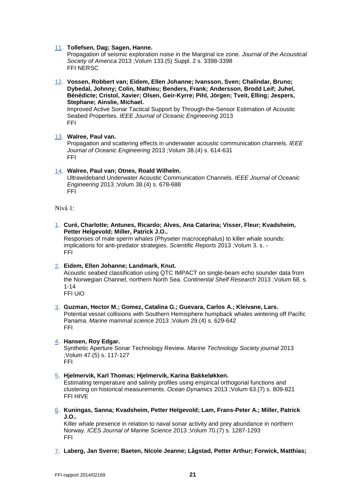#### [11.](http://www.cristin.no/as/WebObjects/cristin.woa/wo/105.Profil.29.25.2.3.15.1.10.3) **Tollefsen, Dag; Sagen, Hanne.**

Propagation of seismic exploration noise in the Marginal ice zone. *Journal of the Acoustical Society of America* 2013 ;Volum 133.(5) Suppl. 2 s. 3398-3398 FFI NERSC

[12.](http://www.cristin.no/as/WebObjects/cristin.woa/wo/105.Profil.29.25.2.3.15.1.11.3) **Vossen, Robbert van; Eidem, Ellen Johanne; Ivansson, Sven; Chalindar, Bruno; Dybedal, Johnny; Colin, Mathieu; Benders, Frank; Andersson, Brodd Leif; Juhel, Bénédicte; Cristol, Xavier; Olsen, Geir-Kyrre; Pihl, Jörgen; Tveit, Elling; Jespers, Stephane; Ainslie, Michael.**  Improved Active Sonar Tactical Support by Through-the-Sensor Estimation of Acoustic

Seabed Properties. *IEEE Journal of Oceanic Engineering* 2013 FFI

#### [13.](http://www.cristin.no/as/WebObjects/cristin.woa/wo/105.Profil.29.25.2.3.15.1.12.3) **Walree, Paul van.**

Propagation and scattering effects in underwater acoustic communication channels. *IEEE Journal of Oceanic Engineering* 2013 ;Volum 38.(4) s. 614-631 FFI

#### [14.](http://www.cristin.no/as/WebObjects/cristin.woa/wo/105.Profil.29.25.2.3.15.1.13.3) **Walree, Paul van; Otnes, Roald Wilhelm.**

Ultrawideband Underwater Acoustic Communication Channels. *IEEE Journal of Oceanic Engineering* 2013 ;Volum 38.(4) s. 678-688 FFI

Nivå 1:

[1.](http://www.cristin.no/as/WebObjects/cristin.woa/wo/109.Profil.29.25.2.3.15.1.0.3) **Curé, Charlotte; Antunes, Ricardo; Alves, Ana Catarina; Visser, Fleur; Kvadsheim, Petter Helgevold; Miller, Patrick J.O..** 

Responses of male sperm whales (Physeter macrocephalus) to killer whale sounds: implications for anti-predator strategies. *Scientific Reports* 2013 ;Volum 3. s. - FFI

#### [2.](http://www.cristin.no/as/WebObjects/cristin.woa/wo/109.Profil.29.25.2.3.15.1.1.3) **Eidem, Ellen Johanne; Landmark, Knut.**

Acoustic seabed classification using QTC IMPACT on single-beam echo sounder data from the Norwegian Channel, northern North Sea. *Continental Shelf Research* 2013 ;Volum 68. s. 1-14

FFI UiO

[3.](http://www.cristin.no/as/WebObjects/cristin.woa/wo/109.Profil.29.25.2.3.15.1.2.3) **Guzman, Hector M.; Gomez, Catalina G.; Guevara, Carlos A.; Kleivane, Lars.**  Potential vessel collisions with Southern Hemisphere humpback whales wintering off Pacific Panama. *Marine mammal science* 2013 ;Volum 29.(4) s. 629-642 FFI

#### [4.](http://www.cristin.no/as/WebObjects/cristin.woa/wo/109.Profil.29.25.2.3.15.1.3.3) **Hansen, Roy Edgar.**

Synthetic Aperture Sonar Technology Review. *Marine Technology Society journal* 2013 ;Volum 47.(5) s. 117-127 FFI

#### [5.](http://www.cristin.no/as/WebObjects/cristin.woa/wo/109.Profil.29.25.2.3.15.1.4.3) **Hjelmervik, Karl Thomas; Hjelmervik, Karina Bakkeløkken.**

Estimating temperature and salinity profiles using empirical orthogonal functions and clustering on historical measurements. *Ocean Dynamics* 2013 ;Volum 63.(7) s. 809-821 FFI HIVE

[6.](http://www.cristin.no/as/WebObjects/cristin.woa/wo/109.Profil.29.25.2.3.15.1.5.3) **Kuningas, Sanna; Kvadsheim, Petter Helgevold; Lam, Frans-Peter A.; Miller, Patrick J.O..** 

Killer whale presence in relation to naval sonar activity and prey abundance in northern Norway. *ICES Journal of Marine Science* 2013 ;Volum 70.(7) s. 1287-1293 FFI

[7.](http://www.cristin.no/as/WebObjects/cristin.woa/wo/109.Profil.29.25.2.3.15.1.6.3) **Laberg, Jan Sverre; Baeten, Nicole Jeanne; Lågstad, Petter Arthur; Forwick, Matthias;**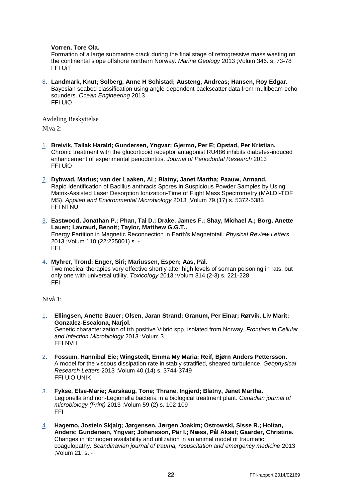#### **Vorren, Tore Ola.**

Formation of a large submarine crack during the final stage of retrogressive mass wasting on the continental slope offshore northern Norway. *Marine Geology* 2013 ;Volum 346. s. 73-78 FFI UiT

[8.](http://www.cristin.no/as/WebObjects/cristin.woa/wo/109.Profil.29.25.2.3.15.1.7.3) **Landmark, Knut; Solberg, Anne H Schistad; Austeng, Andreas; Hansen, Roy Edgar.**  Bayesian seabed classification using angle-dependent backscatter data from multibeam echo sounders. *Ocean Engineering* 2013 FFI UiO

Avdeling Beskyttelse

Nivå 2:

- [1.](http://www.cristin.no/as/WebObjects/cristin.woa/wo/119.Profil.29.25.2.3.15.1.0.3) **Breivik, Tallak Harald; Gundersen, Yngvar; Gjermo, Per E; Opstad, Per Kristian.**  Chronic treatment with the glucorticoid receptor antagonist RU486 inhibits diabetes-induced enhancement of experimental periodontitis. *Journal of Periodontal Research* 2013 FFI UiO
- [2.](http://www.cristin.no/as/WebObjects/cristin.woa/wo/119.Profil.29.25.2.3.15.1.1.3) **Dybwad, Marius; van der Laaken, AL; Blatny, Janet Martha; Paauw, Armand.**  Rapid Identification of Bacillus anthracis Spores in Suspicious Powder Samples by Using Matrix-Assisted Laser Desorption Ionization-Time of Flight Mass Spectrometry (MALDI-TOF MS). *Applied and Environmental Microbiology* 2013 ;Volum 79.(17) s. 5372-5383 FFI NTNU
- [3.](http://www.cristin.no/as/WebObjects/cristin.woa/wo/119.Profil.29.25.2.3.15.1.2.3) **Eastwood, Jonathan P.; Phan, Tai D.; Drake, James F.; Shay, Michael A.; Borg, Anette Lauen; Lavraud, Benoit; Taylor, Matthew G.G.T..**  Energy Partition in Magnetic Reconnection in Earth's Magnetotail. *Physical Review Letters* 2013 ;Volum 110.(22:225001) s. - FFI
- [4.](http://www.cristin.no/as/WebObjects/cristin.woa/wo/119.Profil.29.25.2.3.15.1.3.3) **Myhrer, Trond; Enger, Siri; Mariussen, Espen; Aas, Pål.**  Two medical therapies very effective shortly after high levels of soman poisoning in rats, but only one with universal utility. *Toxicology* 2013 ;Volum 314.(2-3) s. 221-228 FFI

Nivå 1:

- [1.](http://www.cristin.no/as/WebObjects/cristin.woa/wo/123.Profil.29.25.2.3.15.1.0.3) **Ellingsen, Anette Bauer; Olsen, Jaran Strand; Granum, Per Einar; Rørvik, Liv Marit; Gonzalez-Escalona, Narjol.**  Genetic characterization of trh positive Vibrio spp. isolated from Norway. *Frontiers in Cellular and Infection Microbiology* 2013 ;Volum 3. FFI NVH
- [2.](http://www.cristin.no/as/WebObjects/cristin.woa/wo/123.Profil.29.25.2.3.15.1.1.3) **Fossum, Hannibal Eie; Wingstedt, Emma My Maria; Reif, Bjørn Anders Pettersson.**  A model for the viscous dissipation rate in stably stratified, sheared turbulence. *Geophysical Research Letters* 2013 ;Volum 40.(14) s. 3744-3749 FFI UiO UNIK
- [3.](http://www.cristin.no/as/WebObjects/cristin.woa/wo/123.Profil.29.25.2.3.15.1.2.3) **Fykse, Else-Marie; Aarskaug, Tone; Thrane, Ingjerd; Blatny, Janet Martha.**  Legionella and non-Legionella bacteria in a biological treatment plant. *Canadian journal of microbiology (Print)* 2013 ;Volum 59.(2) s. 102-109 FFI
- [4.](http://www.cristin.no/as/WebObjects/cristin.woa/wo/123.Profil.29.25.2.3.15.1.3.3) **Hagemo, Jostein Skjalg; Jørgensen, Jørgen Joakim; Ostrowski, Sisse R.; Holtan, Anders; Gundersen, Yngvar; Johansson, Pär I.; Næss, Pål Aksel; Gaarder, Christine.**  Changes in fibrinogen availability and utilization in an animal model of traumatic coagulopathy. *Scandinavian journal of trauma, resuscitation and emergency medicine* 2013 ;Volum 21. s. -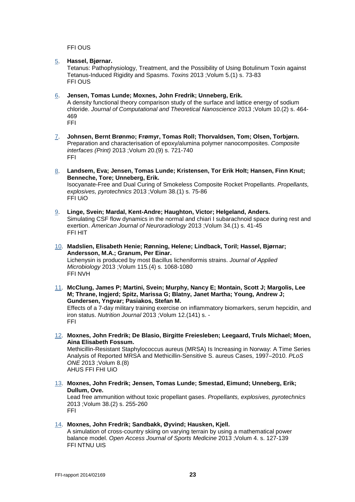FFI OUS

[5.](http://www.cristin.no/as/WebObjects/cristin.woa/wo/123.Profil.29.25.2.3.15.1.4.3) **Hassel, Bjørnar.** 

Tetanus: Pathophysiology, Treatment, and the Possibility of Using Botulinum Toxin against Tetanus-Induced Rigidity and Spasms. *Toxins* 2013 ;Volum 5.(1) s. 73-83 FFI OUS

#### [6.](http://www.cristin.no/as/WebObjects/cristin.woa/wo/123.Profil.29.25.2.3.15.1.5.3) **Jensen, Tomas Lunde; Moxnes, John Fredrik; Unneberg, Erik.**

A density functional theory comparison study of the surface and lattice energy of sodium chloride. *Journal of Computational and Theoretical Nanoscience* 2013 ;Volum 10.(2) s. 464- 469 FFI

- [7.](http://www.cristin.no/as/WebObjects/cristin.woa/wo/123.Profil.29.25.2.3.15.1.6.3) **Johnsen, Bernt Brønmo; Frømyr, Tomas Roll; Thorvaldsen, Tom; Olsen, Torbjørn.**  Preparation and characterisation of epoxy/alumina polymer nanocomposites. *Composite interfaces (Print)* 2013 ;Volum 20.(9) s. 721-740 FFI
- [8.](http://www.cristin.no/as/WebObjects/cristin.woa/wo/123.Profil.29.25.2.3.15.1.7.3) **Landsem, Eva; Jensen, Tomas Lunde; Kristensen, Tor Erik Holt; Hansen, Finn Knut; Benneche, Tore; Unneberg, Erik.**

Isocyanate-Free and Dual Curing of Smokeless Composite Rocket Propellants. *Propellants, explosives, pyrotechnics* 2013 ;Volum 38.(1) s. 75-86 FFI UiO

- [9.](http://www.cristin.no/as/WebObjects/cristin.woa/wo/123.Profil.29.25.2.3.15.1.8.3) **Linge, Svein; Mardal, Kent-Andre; Haughton, Victor; Helgeland, Anders.**  Simulating CSF flow dynamics in the normal and chiari I subarachnoid space during rest and exertion. *American Journal of Neuroradiology* 2013 ;Volum 34.(1) s. 41-45 FFI HIT
- [10.](http://www.cristin.no/as/WebObjects/cristin.woa/wo/123.Profil.29.25.2.3.15.1.9.3) **Madslien, Elisabeth Henie; Rønning, Helene; Lindback, Toril; Hassel, Bjørnar; Andersson, M.A.; Granum, Per Einar.**  Lichenysin is produced by most Bacillus licheniformis strains. *Journal of Applied Microbiology* 2013 ;Volum 115.(4) s. 1068-1080 FFI NVH
- [11.](http://www.cristin.no/as/WebObjects/cristin.woa/wo/123.Profil.29.25.2.3.15.1.10.3) **McClung, James P; Martini, Svein; Murphy, Nancy E; Montain, Scott J; Margolis, Lee M; Thrane, Ingjerd; Spitz, Marissa G; Blatny, Janet Martha; Young, Andrew J; Gundersen, Yngvar; Pasiakos, Stefan M.**  Effects of a 7-day military training exercise on inflammatory biomarkers, serum hepcidin, and iron status. *Nutrition Journal* 2013 ;Volum 12.(141) s. -
- [12.](http://www.cristin.no/as/WebObjects/cristin.woa/wo/123.Profil.29.25.2.3.15.1.11.3) **Moxnes, John Fredrik; De Blasio, Birgitte Freiesleben; Leegaard, Truls Michael; Moen, Aina Elisabeth Fossum.**

Methicillin-Resistant Staphylococcus aureus (MRSA) Is Increasing in Norway: A Time Series Analysis of Reported MRSA and Methicillin-Sensitive S. aureus Cases, 1997–2010. *PLoS ONE* 2013 ;Volum 8.(8) AHUS FFI FHI UiO

[13.](http://www.cristin.no/as/WebObjects/cristin.woa/wo/123.Profil.29.25.2.3.15.1.12.3) **Moxnes, John Fredrik; Jensen, Tomas Lunde; Smestad, Eimund; Unneberg, Erik; Dullum, Ove.** 

Lead free ammunition without toxic propellant gases. *Propellants, explosives, pyrotechnics* 2013 ;Volum 38.(2) s. 255-260 FFI

[14.](http://www.cristin.no/as/WebObjects/cristin.woa/wo/123.Profil.29.25.2.3.15.1.13.3) **Moxnes, John Fredrik; Sandbakk, Øyvind; Hausken, Kjell.** 

A simulation of cross-country skiing on varying terrain by using a mathematical power balance model. *Open Access Journal of Sports Medicine* 2013 ;Volum 4. s. 127-139 FFI NTNU UIS

FFI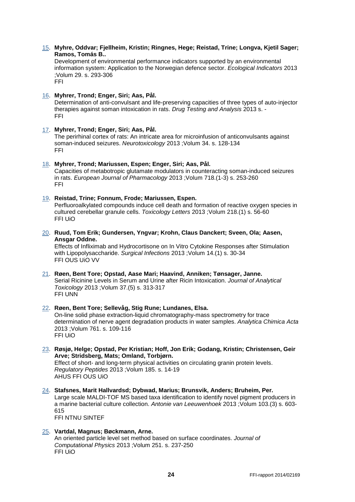#### [15.](http://www.cristin.no/as/WebObjects/cristin.woa/wo/123.Profil.29.25.2.3.15.1.14.3) **Myhre, Oddvar; Fjellheim, Kristin; Ringnes, Hege; Reistad, Trine; Longva, Kjetil Sager; Ramos, Tomás B..**

Development of environmental performance indicators supported by an environmental information system: Application to the Norwegian defence sector. *Ecological Indicators* 2013 ;Volum 29. s. 293-306 FFI

#### [16.](http://www.cristin.no/as/WebObjects/cristin.woa/wo/123.Profil.29.25.2.3.15.1.15.3) **Myhrer, Trond; Enger, Siri; Aas, Pål.**

Determination of anti-convulsant and life-preserving capacities of three types of auto-injector therapies against soman intoxication in rats. *Drug Testing and Analysis* 2013 s. - FFI

#### [17.](http://www.cristin.no/as/WebObjects/cristin.woa/wo/123.Profil.29.25.2.3.15.1.16.3) **Myhrer, Trond; Enger, Siri; Aas, Pål.**

The perirhinal cortex of rats: An intricate area for microinfusion of anticonvulsants against soman-induced seizures. *Neurotoxicology* 2013 ;Volum 34. s. 128-134 FFI

#### [18.](http://www.cristin.no/as/WebObjects/cristin.woa/wo/123.Profil.29.25.2.3.15.1.17.3) **Myhrer, Trond; Mariussen, Espen; Enger, Siri; Aas, Pål.**

Capacities of metabotropic glutamate modulators in counteracting soman-induced seizures in rats. *European Journal of Pharmacology* 2013 ;Volum 718.(1-3) s. 253-260 FFI

#### [19.](http://www.cristin.no/as/WebObjects/cristin.woa/wo/123.Profil.29.25.2.3.15.1.18.3) **Reistad, Trine; Fonnum, Frode; Mariussen, Espen.**

Perfluoroalkylated compounds induce cell death and formation of reactive oxygen species in cultured cerebellar granule cells. *Toxicology Letters* 2013 ;Volum 218.(1) s. 56-60 FFI UiO

[20.](http://www.cristin.no/as/WebObjects/cristin.woa/wo/123.Profil.29.25.2.3.15.1.19.3) **Ruud, Tom Erik; Gundersen, Yngvar; Krohn, Claus Danckert; Sveen, Ola; Aasen, Ansgar Oddne.** 

Effects of Infliximab and Hydrocortisone on In Vitro Cytokine Responses after Stimulation with Lipopolysaccharide. *Surgical Infections* 2013 ;Volum 14.(1) s. 30-34 FFI OUS UiO VV

[21.](http://www.cristin.no/as/WebObjects/cristin.woa/wo/123.Profil.29.25.2.3.15.1.20.3) **Røen, Bent Tore; Opstad, Aase Mari; Haavind, Anniken; Tønsager, Janne.**  Serial Ricinine Levels in Serum and Urine after Ricin Intoxication. *Journal of Analytical Toxicology* 2013 ;Volum 37.(5) s. 313-317 FFI UNN

#### [22.](http://www.cristin.no/as/WebObjects/cristin.woa/wo/123.Profil.29.25.2.3.15.1.21.3) **Røen, Bent Tore; Sellevåg, Stig Rune; Lundanes, Elsa.**  On-line solid phase extraction-liquid chromatography-mass spectrometry for trace determination of nerve agent degradation products in water samples. *Analytica Chimica Acta* 2013 ;Volum 761. s. 109-116 FFI UiO

[23.](http://www.cristin.no/as/WebObjects/cristin.woa/wo/123.Profil.29.25.2.3.15.1.22.3) **Røsjø, Helge; Opstad, Per Kristian; Hoff, Jon Erik; Godang, Kristin; Christensen, Geir Arve; Stridsberg, Mats; Omland, Torbjørn.** 

Effect of short- and long-term physical activities on circulating granin protein levels. *Regulatory Peptides* 2013 ;Volum 185. s. 14-19 AHUS FFI OUS UiO

[24.](http://www.cristin.no/as/WebObjects/cristin.woa/wo/123.Profil.29.25.2.3.15.1.23.3) **Stafsnes, Marit Hallvardsd; Dybwad, Marius; Brunsvik, Anders; Bruheim, Per.**  Large scale MALDI-TOF MS based taxa identification to identify novel pigment producers in a marine bacterial culture collection. *Antonie van Leeuwenhoek* 2013 ;Volum 103.(3) s. 603- 615 FFI NTNU SINTEF

#### [25.](http://www.cristin.no/as/WebObjects/cristin.woa/wo/123.Profil.29.25.2.3.15.1.24.3) **Vartdal, Magnus; Bøckmann, Arne.**

An oriented particle level set method based on surface coordinates. *Journal of Computational Physics* 2013 ;Volum 251. s. 237-250 FFI UiO